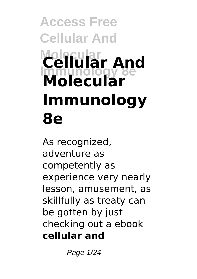# **Access Free Cellular And Molecular Immunology 8e Cellular And Molecular Immunology 8e**

As recognized, adventure as competently as experience very nearly lesson, amusement, as skillfully as treaty can be gotten by just checking out a ebook **cellular and**

Page 1/24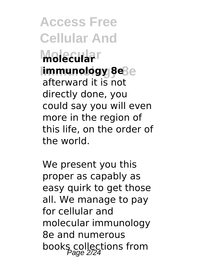**Access Free Cellular And Molecular molecular Immunology 8e immunology 8e** afterward it is not directly done, you could say you will even more in the region of this life, on the order of the world.

We present you this proper as capably as easy quirk to get those all. We manage to pay for cellular and molecular immunology 8e and numerous books collections from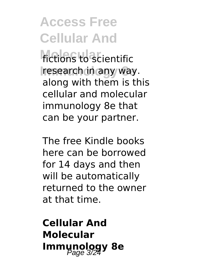**fictions** to scientific **research in any way.** along with them is this cellular and molecular immunology 8e that can be your partner.

The free Kindle books here can be borrowed for 14 days and then will be automatically returned to the owner at that time.

**Cellular And Molecular Immunology 8e**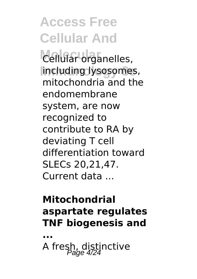Cellular organelles, **Immunology 8e** including lysosomes, mitochondria and the endomembrane system, are now recognized to contribute to RA by deviating T cell differentiation toward SLECs 20,21,47. Current data ...

#### **Mitochondrial aspartate regulates TNF biogenesis and**

**...** A fresh, distinctive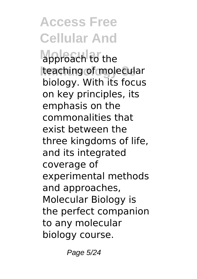approach to the **Iteaching of molecular** biology. With its focus on key principles, its emphasis on the commonalities that exist between the three kingdoms of life, and its integrated coverage of experimental methods and approaches, Molecular Biology is the perfect companion to any molecular biology course.

Page 5/24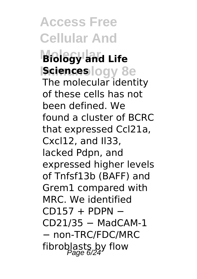**Access Free Cellular And Molecular Biology and Life Isciences** logy 8e The molecular identity of these cells has not been defined. We found a cluster of BCRC that expressed Ccl21a, Cxcl12, and Il33, lacked Pdpn, and expressed higher levels of Tnfsf13b (BAFF) and Grem1 compared with MRC. We identified  $CD157 + PDPN -$ CD21/35 − MadCAM-1 − non-TRC/FDC/MRC fibroblasts by flow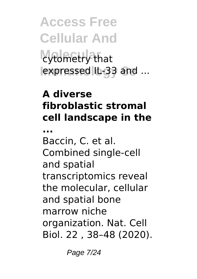**Access Free Cellular And** cytometry that lexpressed IL-33 and ...

#### **A diverse fibroblastic stromal cell landscape in the**

**...** Baccin, C. et al. Combined single-cell and spatial transcriptomics reveal the molecular, cellular and spatial bone marrow niche organization. Nat. Cell Biol. 22 , 38–48 (2020).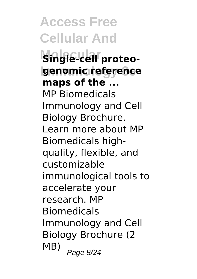**Access Free Cellular And Single-cell proteogenomic reference maps of the ...** MP Biomedicals Immunology and Cell Biology Brochure. Learn more about MP Biomedicals highquality, flexible, and customizable immunological tools to accelerate your research. MP Biomedicals Immunology and Cell Biology Brochure (2  $MB)$  Page 8/24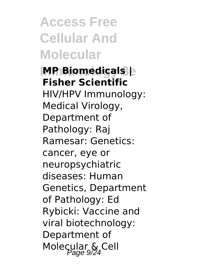**Access Free Cellular And Molecular**

#### **Immunology 8e MP Biomedicals | Fisher Scientific** HIV/HPV Immunology:

Medical Virology, Department of Pathology: Raj Ramesar: Genetics: cancer, eye or neuropsychiatric diseases: Human Genetics, Department of Pathology: Ed Rybicki: Vaccine and viral biotechnology: Department of Molecular & Cell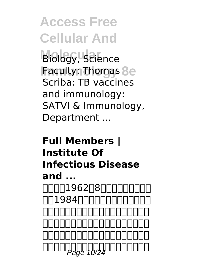**Biology, Science IFaculty: Thomas 8e** Scriba: TB vaccines and immunology: SATVI & Immunology, Department ...

#### **Full Members | Institute Of Infectious Disease and ...** 고미미1962日8日미미  $\sqcap$ 1984 $\sqcap$ n $\sqcap$ n  $\nu$ 生物免疫学专业,攻读硕士学位。现任解放 军总医院第五医学中心感染病医学部主任、 博士生导师、全国著名传染病学教授,传染 Page 10/24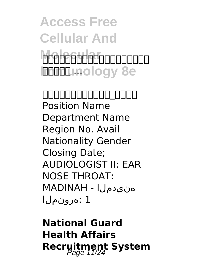### **Access Free Cellular And Molecular**ooooooo **Immunology 8e**

**王福生(中国科学院院士)\_百度百科** Position Name Department Name Region No. Avail Nationality Gender Closing Date; AUDIOLOGIST II: EAR NOSE THROAT: هنيدملا - MADINAH 1 :هرونملا

**National Guard Health Affairs Recruitment System**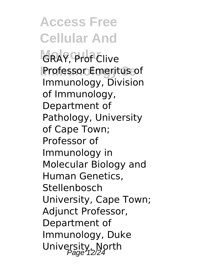**Access Free Cellular And** GRAY, Prof Clive **Professor Emeritus of** Immunology, Division of Immunology, Department of Pathology, University of Cape Town; Professor of Immunology in Molecular Biology and Human Genetics, **Stellenbosch** University, Cape Town; Adjunct Professor, Department of Immunology, Duke University, North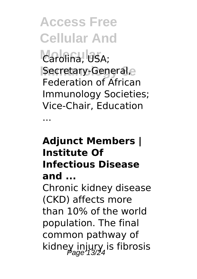**Access Free Cellular And** Carolina, USA; **Immunology 8e** Secretary-General, Federation of African Immunology Societies;

Vice-Chair, Education

...

#### **Adjunct Members | Institute Of Infectious Disease and ...**

Chronic kidney disease (CKD) affects more than 10% of the world population. The final common pathway of kidney injury is fibrosis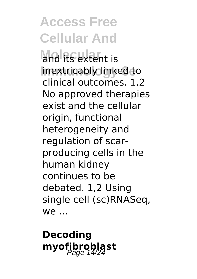and its extent is **Immunology 8e** inextricably linked to clinical outcomes. 1,2 No approved therapies exist and the cellular origin, functional heterogeneity and regulation of scarproducing cells in the human kidney continues to be debated. 1,2 Using single cell (sc)RNASeq,  $W \cap$ 

**Decoding myofibroblast** Page 14/24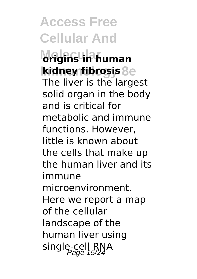**Access Free Cellular And Molecular origins in human Immunology 8e kidney fibrosis** The liver is the largest solid organ in the body and is critical for metabolic and immune functions. However, little is known about the cells that make up the human liver and its immune microenvironment. Here we report a map of the cellular landscape of the human liver using

single-cell RNA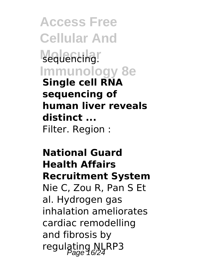**Access Free Cellular And** sequencing. **Immunology 8e Single cell RNA sequencing of human liver reveals distinct ...** Filter. Region :

**National Guard Health Affairs Recruitment System** Nie C, Zou R, Pan S Et al. Hydrogen gas inhalation ameliorates cardiac remodelling and fibrosis by regulating NLRP3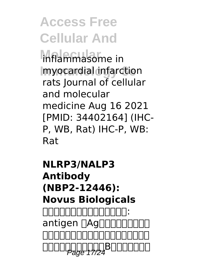**Molecular** inflammasome in **Immunology 8e** myocardial infarction rats Journal of cellular and molecular medicine Aug 16 2021 [PMID: 34402164] (IHC-P, WB, Rat) IHC-P, WB: Rat

**NLRP3/NALP3 Antibody (NBP2-12446): Novus Biologicals** <u>nnnnnnnnn:</u> antigen <sub>RAg</sub>nnann <u>uuuuuuuuuu saadaa ka</u> rgge <del>17/2</del>800000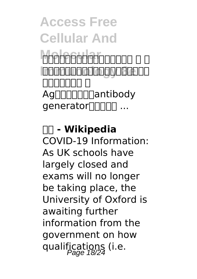### **Access Free Cellular And Molecular**ooooo a a **Innanonadoggo8e**oo コロロロロロ ロ Ag∏∏∏∏∏antibody canerator<sub>[11111</sub> ...

#### **抗原 - Wikipedia** COVID-19 Information: As UK schools have largely closed and exams will no longer be taking place, the University of Oxford is awaiting further information from the government on how qualifications (i.e.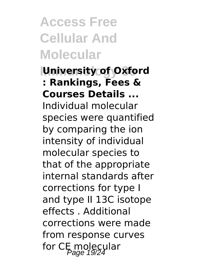**Access Free Cellular And Molecular**

#### **University of Oxford : Rankings, Fees & Courses Details ...**

Individual molecular species were quantified by comparing the ion intensity of individual molecular species to that of the appropriate internal standards after corrections for type I and type II 13C isotope effects . Additional corrections were made from response curves for CE molecular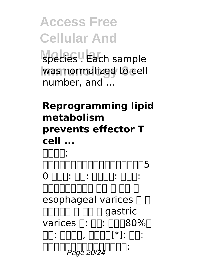**Access Free Cellular And** species . Each sample was normalized to cell number, and  $\ldots$ 

#### **Reprogramming lipid metabolism prevents effector T cell ...** 丙型肝炎; 丙型肝炎病毒的電子顯微鏡攝影(大小約5 0 מחחר: הח: מחר ה הה ה הה ההחחחה esophageal varices  $\Box$   $\Box$  $\Pi\Pi\Pi\Pi\Pi\Pi\Pi\Pi\Pi$  aastric varices n: nn: nnn80%n  $\Box\Box\colon\Box\Box\Box\Box$ ,  $\Box\Box\Box\Box$   $\Box\Box\vdots$ anda **page 20/24** and :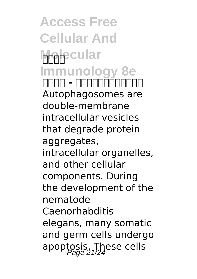**Access Free Cellular And Molecular Immunology 8e 丙型肝炎 - 维基百科,自由的百科全书** Autophagosomes are double-membrane intracellular vesicles that degrade protein aggregates, intracellular organelles, and other cellular components. During the development of the nematode Caenorhabditis elegans, many somatic and germ cells undergo apoptosis. These cells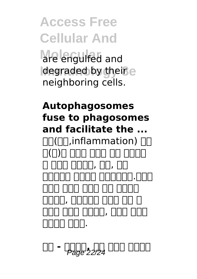**Access Free Cellular And Molecular** are engulfed and **degraded by their e** neighboring cells.

#### **Autophagosomes fuse to phagosomes and facilitate the ...**  $\Pi$ ( $\Pi$ ,inflammation)  $\Pi$ חחחח חחח חחח ה(ח)ה חרו חחר חחר 매개체들이 관여하는 보호반응이다.염증의 목적은 세포의 손상을 초기 단계에서 거리 . . 어디머니 다리 가지 . . 괴사된 세포를 제거하며, 동시에 조직을 mmmmmmmm.

**위대 기기 모두 모두 기**기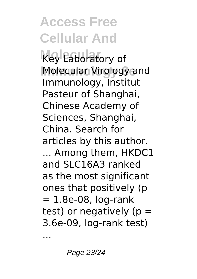**Key Laboratory of Molecular Virology and** Immunology, Institut Pasteur of Shanghai, Chinese Academy of Sciences, Shanghai, China. Search for articles by this author. ... Among them, HKDC1 and SLC16A3 ranked as the most significant ones that positively (p  $= 1.8e-08$ , log-rank test) or negatively ( $p =$ 3.6e-09, log-rank test)